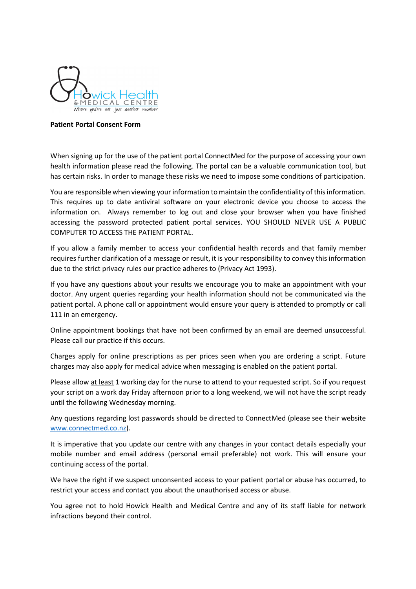

## **Patient Portal Consent Form**

When signing up for the use of the patient portal ConnectMed for the purpose of accessing your own health information please read the following. The portal can be a valuable communication tool, but has certain risks. In order to manage these risks we need to impose some conditions of participation.

You are responsible when viewing your information to maintain the confidentiality of this information. This requires up to date antiviral software on your electronic device you choose to access the information on. Always remember to log out and close your browser when you have finished accessing the password protected patient portal services. YOU SHOULD NEVER USE A PUBLIC COMPUTER TO ACCESS THE PATIENT PORTAL.

If you allow a family member to access your confidential health records and that family member requires further clarification of a message or result, it is your responsibility to convey this information due to the strict privacy rules our practice adheres to (Privacy Act 1993).

If you have any questions about your results we encourage you to make an appointment with your doctor. Any urgent queries regarding your health information should not be communicated via the patient portal. A phone call or appointment would ensure your query is attended to promptly or call 111 in an emergency.

Online appointment bookings that have not been confirmed by an email are deemed unsuccessful. Please call our practice if this occurs.

Charges apply for online prescriptions as per prices seen when you are ordering a script. Future charges may also apply for medical advice when messaging is enabled on the patient portal.

Please allow at least 1 working day for the nurse to attend to your requested script. So if you request your script on a work day Friday afternoon prior to a long weekend, we will not have the script ready until the following Wednesday morning.

Any questions regarding lost passwords should be directed to ConnectMed (please see their website www.connectmed.co.nz).

It is imperative that you update our centre with any changes in your contact details especially your mobile number and email address (personal email preferable) not work. This will ensure your continuing access of the portal.

We have the right if we suspect unconsented access to your patient portal or abuse has occurred, to restrict your access and contact you about the unauthorised access or abuse.

You agree not to hold Howick Health and Medical Centre and any of its staff liable for network infractions beyond their control.